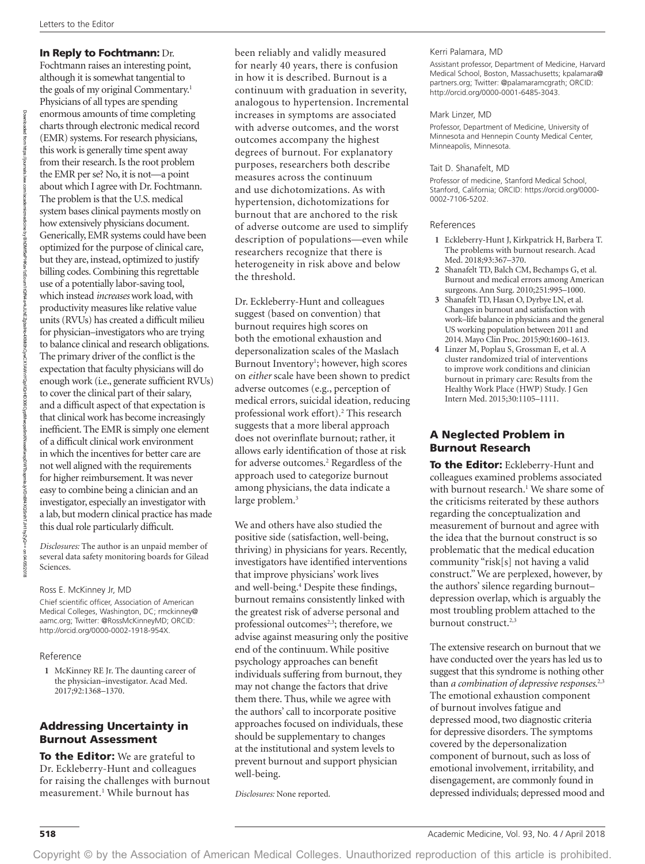## In Reply to Fochtmann: Dr.

Fochtmann raises an interesting point, although it is somewhat tangential to the goals of my original Commentary.<sup>1</sup> Physicians of all types are spending enormous amounts of time completing charts through electronic medical record (EMR) systems. For research physicians, this work is generally time spent away from their research. Is the root problem the EMR per se? No, it is not—a point about which I agree with Dr. Fochtmann. The problem is that the U.S. medical system bases clinical payments mostly on how extensively physicians document. Generically, EMR systems could have been optimized for the purpose of clinical care, but they are, instead, optimized to justify billing codes. Combining this regrettable use of a potentially labor-saving tool, which instead *increases* work load, with productivity measures like relative value units (RVUs) has created a difficult milieu for physician–investigators who are trying to balance clinical and research obligations. The primary driver of the conflict is the expectation that faculty physicians will do enough work (i.e., generate sufficient RVUs) to cover the clinical part of their salary, and a difficult aspect of that expectation is that clinical work has become increasingly inefficient. The EMR is simply one element of a difficult clinical work environment in which the incentives for better care are not well aligned with the requirements for higher reimbursement. It was never easy to combine being a clinician and an investigator, especially an investigator with a lab, but modern clinical practice has made this dual role particularly difficult.

*Disclosures:* The author is an unpaid member of several data safety monitoring boards for Gilead Sciences.

Ross E. McKinney Jr, MD

Chief scientific officer, Association of American Medical Colleges, Washington, DC; [rmckinney@](mailto:rmckinney@aamc.org) [aamc.org](mailto:rmckinney@aamc.org); Twitter: @RossMcKinneyMD; ORCID: [http://orcid.org/0000-0002-1918-954X.](http://orcid.org/0000-0002-1918-954X)

## Reference

**1** McKinney RE Jr. The daunting career of the physician–investigator. Acad Med. 2017;92:1368–1370.

# Addressing Uncertainty in Burnout Assessment

**To the Editor:** We are grateful to Dr. Eckleberry-Hunt and colleagues for raising the challenges with burnout measurement.1 While burnout has

been reliably and validly measured for nearly 40 years, there is confusion in how it is described. Burnout is a continuum with graduation in severity, analogous to hypertension. Incremental increases in symptoms are associated with adverse outcomes, and the worst outcomes accompany the highest degrees of burnout. For explanatory purposes, researchers both describe measures across the continuum and use dichotomizations. As with hypertension, dichotomizations for burnout that are anchored to the risk of adverse outcome are used to simplify description of populations—even while researchers recognize that there is heterogeneity in risk above and below the threshold.

Dr. Eckleberry-Hunt and colleagues suggest (based on convention) that burnout requires high scores on both the emotional exhaustion and depersonalization scales of the Maslach Burnout Inventory<sup>1</sup>; however, high scores on *either* scale have been shown to predict adverse outcomes (e.g., perception of medical errors, suicidal ideation, reducing professional work effort).<sup>2</sup> This research suggests that a more liberal approach does not overinflate burnout; rather, it allows early identification of those at risk for adverse outcomes.<sup>2</sup> Regardless of the approach used to categorize burnout among physicians, the data indicate a large problem.<sup>3</sup>

We and others have also studied the positive side (satisfaction, well-being, thriving) in physicians for years. Recently, investigators have identified interventions that improve physicians' work lives and well-being.4 Despite these findings, burnout remains consistently linked with the greatest risk of adverse personal and professional outcomes<sup>2,3</sup>; therefore, we advise against measuring only the positive end of the continuum. While positive psychology approaches can benefit individuals suffering from burnout, they may not change the factors that drive them there. Thus, while we agree with the authors' call to incorporate positive approaches focused on individuals, these should be supplementary to changes at the institutional and system levels to prevent burnout and support physician well-being.

*Disclosures:* None reported.

## Kerri Palamara, MD

Assistant professor, Department of Medicine, Harvard Medical School, Boston, Massachusetts; [kpalamara@](mailto:kpalamara@partners.org) [partners.org;](mailto:kpalamara@partners.org) Twitter: @palamaramcgrath; ORCID: <http://orcid.org/0000-0001-6485-3043>.

### Mark Linzer, MD

Professor, Department of Medicine, University of Minnesota and Hennepin County Medical Center, Minneapolis, Minnesota.

### Tait D. Shanafelt, MD

Professor of medicine, Stanford Medical School, Stanford, California; ORCID: https://orcid.org/0000- 0002-7106-5202.

### References

- **1** Eckleberry-Hunt J, Kirkpatrick H, Barbera T. The problems with burnout research. Acad Med. 2018;93:367–370.
- **2** Shanafelt TD, Balch CM, Bechamps G, et al. Burnout and medical errors among American surgeons. Ann Surg. 2010;251:995–1000.
- **3** Shanafelt TD, Hasan O, Dyrbye LN, et al. Changes in burnout and satisfaction with work–life balance in physicians and the general US working population between 2011 and 2014. Mayo Clin Proc. 2015;90:1600–1613.
- **4** Linzer M, Poplau S, Grossman E, et al. A cluster randomized trial of interventions to improve work conditions and clinician burnout in primary care: Results from the Healthy Work Place (HWP) Study. J Gen Intern Med. 2015;30:1105–1111.

# A Neglected Problem in Burnout Research

To the Editor: Eckleberry-Hunt and colleagues examined problems associated with burnout research.<sup>1</sup> We share some of the criticisms reiterated by these authors regarding the conceptualization and measurement of burnout and agree with the idea that the burnout construct is so problematic that the medical education community "risk[s] not having a valid construct." We are perplexed, however, by the authors' silence regarding burnout– depression overlap, which is arguably the most troubling problem attached to the burnout construct.<sup>2,3</sup>

The extensive research on burnout that we have conducted over the years has led us to suggest that this syndrome is nothing other than *a combination of depressive responses*.<sup>2,3</sup> The emotional exhaustion component of burnout involves fatigue and depressed mood, two diagnostic criteria for depressive disorders. The symptoms covered by the depersonalization component of burnout, such as loss of emotional involvement, irritability, and disengagement, are commonly found in depressed individuals; depressed mood and

on 04/05/2018